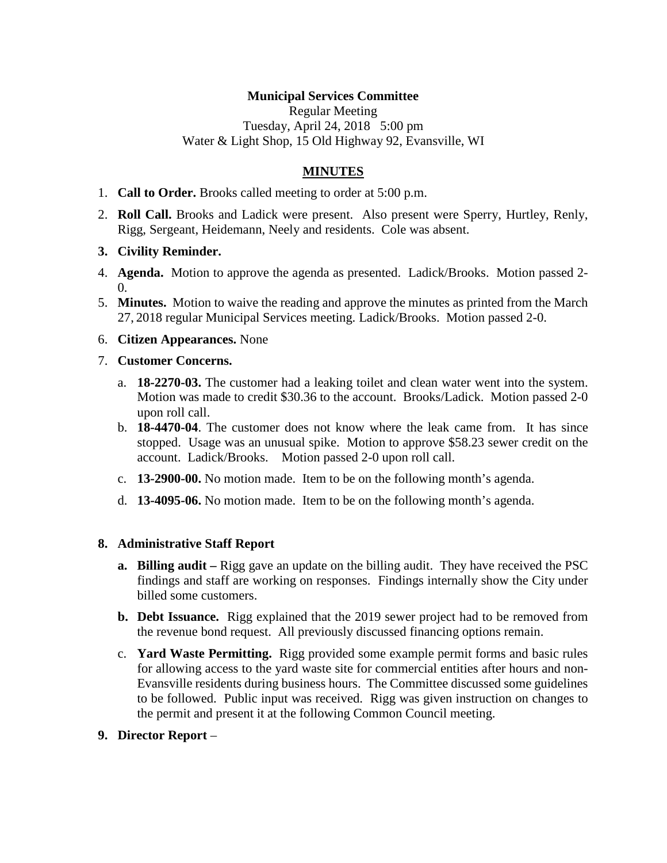## **Municipal Services Committee**

Regular Meeting Tuesday, April 24, 2018 5:00 pm Water & Light Shop, 15 Old Highway 92, Evansville, WI

# **MINUTES**

- 1. **Call to Order.** Brooks called meeting to order at 5:00 p.m.
- 2. **Roll Call.** Brooks and Ladick were present. Also present were Sperry, Hurtley, Renly, Rigg, Sergeant, Heidemann, Neely and residents. Cole was absent.

### **3. Civility Reminder.**

- 4. **Agenda.** Motion to approve the agenda as presented. Ladick/Brooks. Motion passed 2-  $\Omega$
- 5. **Minutes.** Motion to waive the reading and approve the minutes as printed from the March 27, 2018 regular Municipal Services meeting. Ladick/Brooks. Motion passed 2-0.

#### 6. **Citizen Appearances.** None

#### 7. **Customer Concerns.**

- a. **18-2270-03.** The customer had a leaking toilet and clean water went into the system. Motion was made to credit \$30.36 to the account. Brooks/Ladick. Motion passed 2-0 upon roll call.
- b. **18-4470-04**. The customer does not know where the leak came from. It has since stopped. Usage was an unusual spike. Motion to approve \$58.23 sewer credit on the account. Ladick/Brooks. Motion passed 2-0 upon roll call.
- c. **13-2900-00.** No motion made. Item to be on the following month's agenda.
- d. **13-4095-06.** No motion made. Item to be on the following month's agenda.

### **8. Administrative Staff Report**

- **a. Billing audit –** Rigg gave an update on the billing audit. They have received the PSC findings and staff are working on responses. Findings internally show the City under billed some customers.
- **b. Debt Issuance.** Rigg explained that the 2019 sewer project had to be removed from the revenue bond request. All previously discussed financing options remain.
- c. **Yard Waste Permitting.** Rigg provided some example permit forms and basic rules for allowing access to the yard waste site for commercial entities after hours and non-Evansville residents during business hours. The Committee discussed some guidelines to be followed. Public input was received. Rigg was given instruction on changes to the permit and present it at the following Common Council meeting.
- **9. Director Report** –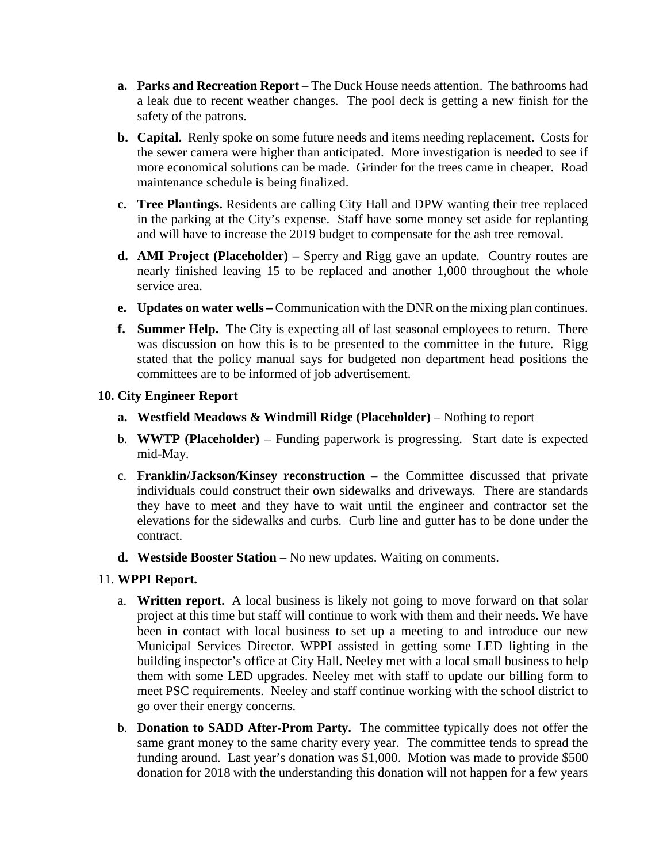- **a. Parks and Recreation Report** The Duck House needs attention. The bathrooms had a leak due to recent weather changes. The pool deck is getting a new finish for the safety of the patrons.
- **b. Capital.** Renly spoke on some future needs and items needing replacement. Costs for the sewer camera were higher than anticipated. More investigation is needed to see if more economical solutions can be made. Grinder for the trees came in cheaper. Road maintenance schedule is being finalized.
- **c. Tree Plantings.** Residents are calling City Hall and DPW wanting their tree replaced in the parking at the City's expense. Staff have some money set aside for replanting and will have to increase the 2019 budget to compensate for the ash tree removal.
- **d. AMI Project (Placeholder) –** Sperry and Rigg gave an update. Country routes are nearly finished leaving 15 to be replaced and another 1,000 throughout the whole service area.
- **e. Updates on water wells –** Communication with the DNR on the mixing plan continues.
- **f. Summer Help.** The City is expecting all of last seasonal employees to return. There was discussion on how this is to be presented to the committee in the future. Rigg stated that the policy manual says for budgeted non department head positions the committees are to be informed of job advertisement.

## **10. City Engineer Report**

- **a. Westfield Meadows & Windmill Ridge (Placeholder)** Nothing to report
- b. **WWTP (Placeholder)** Funding paperwork is progressing. Start date is expected mid-May.
- c. **Franklin/Jackson/Kinsey reconstruction** the Committee discussed that private individuals could construct their own sidewalks and driveways. There are standards they have to meet and they have to wait until the engineer and contractor set the elevations for the sidewalks and curbs. Curb line and gutter has to be done under the contract.
- **d. Westside Booster Station** No new updates. Waiting on comments.

# 11. **WPPI Report.**

- a. **Written report.** A local business is likely not going to move forward on that solar project at this time but staff will continue to work with them and their needs. We have been in contact with local business to set up a meeting to and introduce our new Municipal Services Director. WPPI assisted in getting some LED lighting in the building inspector's office at City Hall. Neeley met with a local small business to help them with some LED upgrades. Neeley met with staff to update our billing form to meet PSC requirements. Neeley and staff continue working with the school district to go over their energy concerns.
- b. **Donation to SADD After-Prom Party.** The committee typically does not offer the same grant money to the same charity every year. The committee tends to spread the funding around. Last year's donation was \$1,000. Motion was made to provide \$500 donation for 2018 with the understanding this donation will not happen for a few years